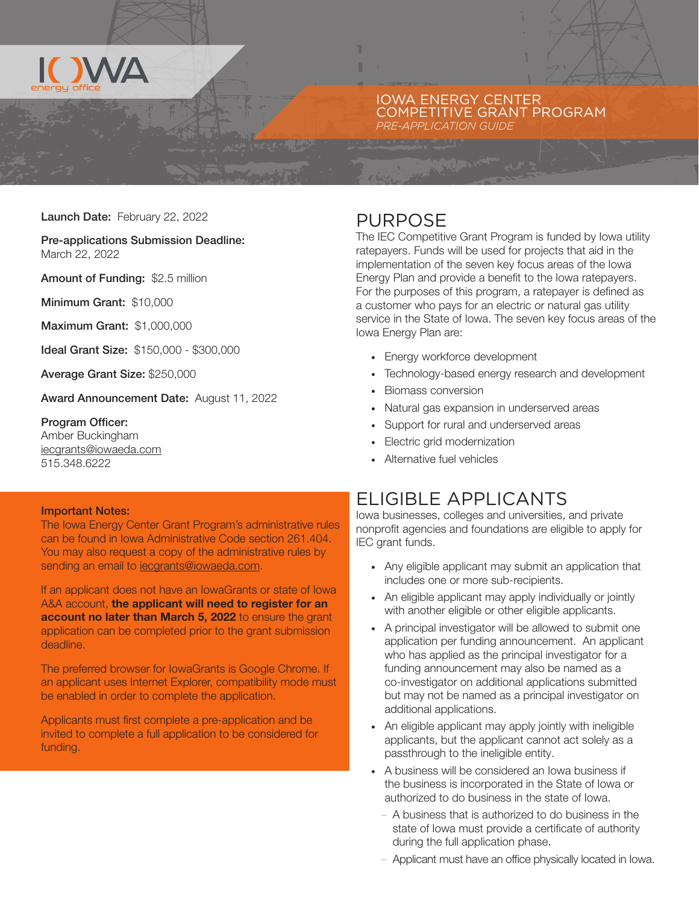

#### IOWA ENERGY CENTER COMPETITIVE GRANT PROGRAM *PRE-APPLICATION GUIDE*

Launch Date: February 22, 2022

#### Pre-applications Submission Deadline: March 22, 2022

Amount of Funding: \$2.5 million

Minimum Grant: \$10,000

Maximum Grant: \$1,000,000

Ideal Grant Size: \$150,000 - \$300,000

Average Grant Size: \$250,000

Award Announcement Date: August 11, 2022

#### Program Officer:

Amber Buckingham [iecgrants@iowaeda.com](mailto:iecgrants%40iowaeda.com?subject=) 515.348.6222

#### Important Notes:

The Iowa Energy Center Grant Program's administrative rules can be found in Iowa Administrative Code section 261.404. You may also request a copy of the administrative rules by sending an email to jecgrants@iowaeda.com.

If an applicant does not have an IowaGrants or state of Iowa A&A account, the applicant will need to register for an account no later than March 5, 2022 to ensure the grant application can be completed prior to the grant submission deadline.

The preferred browser for IowaGrants is Google Chrome. If an applicant uses Internet Explorer, compatibility mode must be enabled in order to complete the application.

Applicants must first complete a pre-application and be invited to complete a full application to be considered for funding.

#### PURPOSE

The IEC Competitive Grant Program is funded by Iowa utility ratepayers. Funds will be used for projects that aid in the implementation of the seven key focus areas of the Iowa Energy Plan and provide a benefit to the Iowa ratepayers. For the purposes of this program, a ratepayer is defined as a customer who pays for an electric or natural gas utility service in the State of Iowa. The seven key focus areas of the Iowa Energy Plan are:

- · Energy workforce development
- · Technology-based energy research and development
- · Biomass conversion
- Natural gas expansion in underserved areas
- Support for rural and underserved areas
- Electric grid modernization
- Alternative fuel vehicles

#### ELIGIBLE APPLICANTS

Iowa businesses, colleges and universities, and private nonprofit agencies and foundations are eligible to apply for IEC grant funds.

- · Any eligible applicant may submit an application that includes one or more sub-recipients.
- · An eligible applicant may apply individually or jointly with another eligible or other eligible applicants.
- · A principal investigator will be allowed to submit one application per funding announcement. An applicant who has applied as the principal investigator for a funding announcement may also be named as a co-investigator on additional applications submitted but may not be named as a principal investigator on additional applications.
- · An eligible applicant may apply jointly with ineligible applicants, but the applicant cannot act solely as a passthrough to the ineligible entity.
- A business will be considered an Iowa business if the business is incorporated in the State of Iowa or authorized to do business in the state of Iowa.
	- A business that is authorized to do business in the state of Iowa must provide a certificate of authority during the full application phase.
	- Applicant must have an office physically located in Iowa.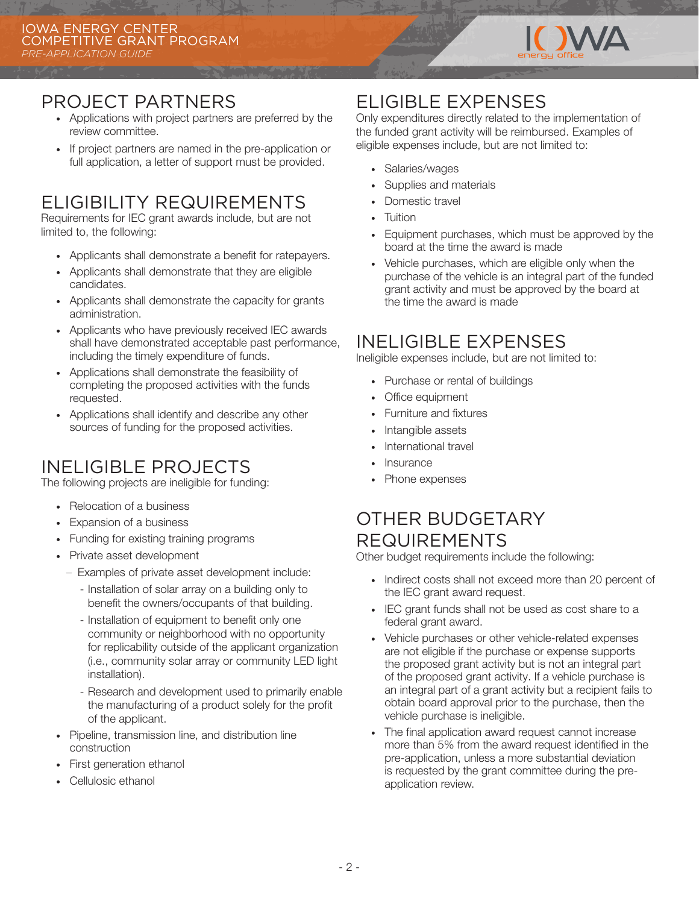

### PROJECT PARTNERS

- · Applications with project partners are preferred by the review committee.
- · If project partners are named in the pre-application or full application, a letter of support must be provided.

# ELIGIBILITY REQUIREMENTS

Requirements for IEC grant awards include, but are not limited to, the following:

- · Applicants shall demonstrate a benefit for ratepayers.
- · Applicants shall demonstrate that they are eligible candidates.
- · Applicants shall demonstrate the capacity for grants administration.
- · Applicants who have previously received IEC awards shall have demonstrated acceptable past performance, including the timely expenditure of funds.
- · Applications shall demonstrate the feasibility of completing the proposed activities with the funds requested.
- · Applications shall identify and describe any other sources of funding for the proposed activities.

# INELIGIBLE PROJECTS

The following projects are ineligible for funding:

- · Relocation of a business
- · Expansion of a business
- · Funding for existing training programs
- · Private asset development
	- Examples of private asset development include:
		- Installation of solar array on a building only to benefit the owners/occupants of that building.
		- Installation of equipment to benefit only one community or neighborhood with no opportunity for replicability outside of the applicant organization (i.e., community solar array or community LED light installation).
		- Research and development used to primarily enable the manufacturing of a product solely for the profit of the applicant.
- Pipeline, transmission line, and distribution line construction
- First generation ethanol
- Cellulosic ethanol

### ELIGIBLE EXPENSES

Only expenditures directly related to the implementation of the funded grant activity will be reimbursed. Examples of eligible expenses include, but are not limited to:

- Salaries/wages
- Supplies and materials
- Domestic travel
- **Tuition**
- · Equipment purchases, which must be approved by the board at the time the award is made
- Vehicle purchases, which are eligible only when the purchase of the vehicle is an integral part of the funded grant activity and must be approved by the board at the time the award is made

#### INELIGIBLE EXPENSES

Ineligible expenses include, but are not limited to:

- · Purchase or rental of buildings
- Office equipment
- Furniture and fixtures
- · Intangible assets
- International travel
- · Insurance
- Phone expenses

### OTHER BUDGETARY REQUIREMENTS

Other budget requirements include the following:

- · Indirect costs shall not exceed more than 20 percent of the IEC grant award request.
- · IEC grant funds shall not be used as cost share to a federal grant award.
- · Vehicle purchases or other vehicle-related expenses are not eligible if the purchase or expense supports the proposed grant activity but is not an integral part of the proposed grant activity. If a vehicle purchase is an integral part of a grant activity but a recipient fails to obtain board approval prior to the purchase, then the vehicle purchase is ineligible.
- The final application award request cannot increase more than 5% from the award request identified in the pre-application, unless a more substantial deviation is requested by the grant committee during the preapplication review.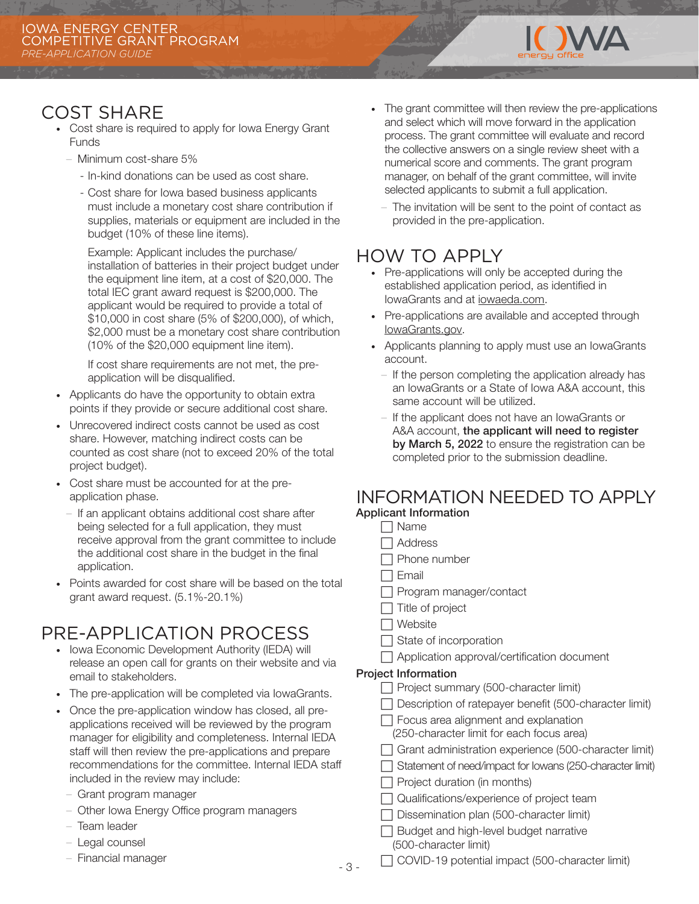

#### COST SHARE

- · Cost share is required to apply for Iowa Energy Grant **Funds** 
	- Minimum cost-share 5%
		- In-kind donations can be used as cost share.
		- Cost share for Iowa based business applicants must include a monetary cost share contribution if supplies, materials or equipment are included in the budget (10% of these line items).

Example: Applicant includes the purchase/ installation of batteries in their project budget under the equipment line item, at a cost of \$20,000. The total IEC grant award request is \$200,000. The applicant would be required to provide a total of \$10,000 in cost share (5% of \$200,000), of which, \$2,000 must be a monetary cost share contribution (10% of the \$20,000 equipment line item).

If cost share requirements are not met, the preapplication will be disqualified.

- · Applicants do have the opportunity to obtain extra points if they provide or secure additional cost share.
- · Unrecovered indirect costs cannot be used as cost share. However, matching indirect costs can be counted as cost share (not to exceed 20% of the total project budget).
- · Cost share must be accounted for at the preapplication phase.
	- If an applicant obtains additional cost share after being selected for a full application, they must receive approval from the grant committee to include the additional cost share in the budget in the final application.
- · Points awarded for cost share will be based on the total grant award request. (5.1%-20.1%)

# PRE-APPLICATION PROCESS

- Iowa Economic Development Authority (IEDA) will release an open call for grants on their website and via email to stakeholders.
- · The pre-application will be completed via IowaGrants.
- · Once the pre-application window has closed, all preapplications received will be reviewed by the program manager for eligibility and completeness. Internal IEDA staff will then review the pre-applications and prepare recommendations for the committee. Internal IEDA staff included in the review may include:
- Grant program manager
- Other Iowa Energy Office program managers
- Team leader
- Legal counsel
- Financial manager
- · The grant committee will then review the pre-applications and select which will move forward in the application process. The grant committee will evaluate and record the collective answers on a single review sheet with a numerical score and comments. The grant program manager, on behalf of the grant committee, will invite selected applicants to submit a full application.
	- The invitation will be sent to the point of contact as provided in the pre-application.

#### HOW TO APPLY

- · Pre-applications will only be accepted during the established application period, as identified in IowaGrants and at [iowaeda.com](https://www.iowaeda.com).
- · Pre-applications are available and accepted through [IowaGrants.gov.](http://IowaGrants.gov)
- · Applicants planning to apply must use an IowaGrants account.
	- If the person completing the application already has an IowaGrants or a State of Iowa A&A account, this same account will be utilized.
	- If the applicant does not have an IowaGrants or A&A account, the applicant will need to register by March 5, 2022 to ensure the registration can be completed prior to the submission deadline.

#### INFORMATION NEEDED TO APPLY Applicant Information

- $\Box$  Name
- $\Box$  Address
- $\Box$  Phone number
- **Email**
- $\Box$  Program manager/contact
- $\Box$  Title of project
- $\Box$  Website
- $\Box$  State of incorporation
- $\Box$  Application approval/certification document

#### Project Information

- F Project summary (500-character limit)
- $\Box$  Description of ratepayer benefit (500-character limit)
- $\Box$  Focus area alignment and explanation (250-character limit for each focus area)
- $\Box$  Grant administration experience (500-character limit)
- F Statement of need/impact for Iowans (250-character limit)
- $\Box$  Project duration (in months)
- $\Box$  Qualifications/experience of project team
- $\Box$  Dissemination plan (500-character limit)
- $\Box$  Budget and high-level budget narrative (500-character limit)
- $\Box$  COVID-19 potential impact (500-character limit)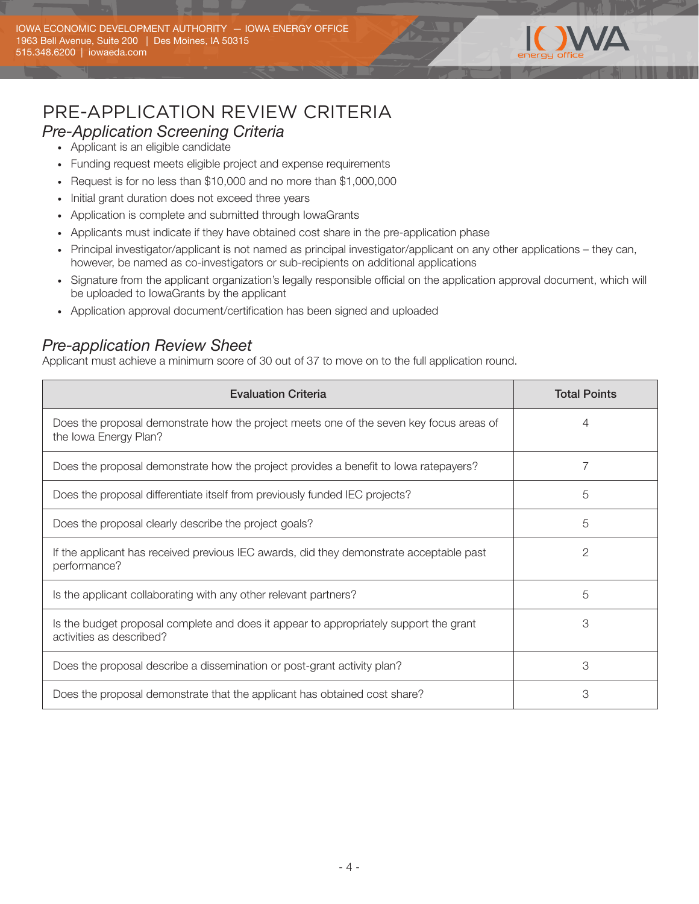

# PRE-APPLICATION REVIEW CRITERIA

#### *Pre-Application Screening Criteria*

- Applicant is an eligible candidate
- · Funding request meets eligible project and expense requirements
- · Request is for no less than \$10,000 and no more than \$1,000,000
- · Initial grant duration does not exceed three years
- · Application is complete and submitted through IowaGrants
- · Applicants must indicate if they have obtained cost share in the pre-application phase
- · Principal investigator/applicant is not named as principal investigator/applicant on any other applications they can, however, be named as co-investigators or sub-recipients on additional applications
- · Signature from the applicant organization's legally responsible official on the application approval document, which will be uploaded to IowaGrants by the applicant
- · Application approval document/certification has been signed and uploaded

#### *Pre-application Review Sheet*

Applicant must achieve a minimum score of 30 out of 37 to move on to the full application round.

| <b>Evaluation Criteria</b>                                                                                        | <b>Total Points</b> |
|-------------------------------------------------------------------------------------------------------------------|---------------------|
| Does the proposal demonstrate how the project meets one of the seven key focus areas of<br>the Iowa Energy Plan?  | 4                   |
| Does the proposal demonstrate how the project provides a benefit to lowa ratepayers?                              |                     |
| Does the proposal differentiate itself from previously funded IEC projects?                                       | 5                   |
| Does the proposal clearly describe the project goals?                                                             | 5                   |
| If the applicant has received previous IEC awards, did they demonstrate acceptable past<br>performance?           | 2                   |
| Is the applicant collaborating with any other relevant partners?                                                  | 5                   |
| Is the budget proposal complete and does it appear to appropriately support the grant<br>activities as described? | 3                   |
| Does the proposal describe a dissemination or post-grant activity plan?                                           | 3                   |
| Does the proposal demonstrate that the applicant has obtained cost share?                                         | 3                   |